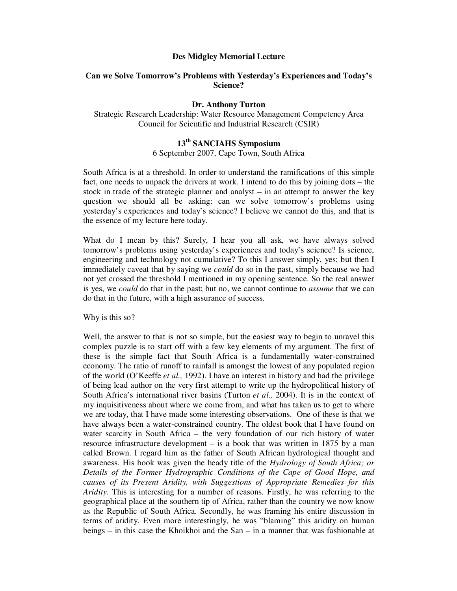### **Des Midgley Memorial Lecture**

# **Can we Solve Tomorrow's Problems with Yesterday's Experiences and Today's Science?**

## **Dr. Anthony Turton**

Strategic Research Leadership: Water Resource Management Competency Area Council for Scientific and Industrial Research (CSIR)

# **13 th SANCIAHS Symposium**

6 September 2007, Cape Town, South Africa

South Africa is at a threshold. In order to understand the ramifications of this simple fact, one needs to unpack the drivers at work. I intend to do this by joining dots – the stock in trade of the strategic planner and analyst – in an attempt to answer the key question we should all be asking: can we solve tomorrow's problems using yesterday's experiences and today's science? I believe we cannot do this, and that is the essence of my lecture here today.

What do I mean by this? Surely, I hear you all ask, we have always solved tomorrow's problems using yesterday's experiences and today's science? Is science, engineering and technology not cumulative? To this I answer simply, yes; but then I immediately caveat that by saying we *could* do so in the past, simply because we had not yet crossed the threshold I mentioned in my opening sentence. So the real answer is yes, we *could* do that in the past; but no, we cannot continue to *assume* that we can do that in the future, with a high assurance of success.

Why is this so?

Well, the answer to that is not so simple, but the easiest way to begin to unravel this complex puzzle is to start off with a few key elements of my argument. The first of these is the simple fact that South Africa is a fundamentally water-constrained economy. The ratio of runoff to rainfall is amongst the lowest of any populated region of the world (O'Keeffe *et al.,* 1992). I have an interest in history and had the privilege of being lead author on the very first attempt to write up the hydropolitical history of South Africa's international river basins (Turton *et al.,* 2004). It is in the context of my inquisitiveness about where we come from, and what has taken us to get to where we are today, that I have made some interesting observations. One of these is that we have always been a water-constrained country. The oldest book that I have found on water scarcity in South Africa – the very foundation of our rich history of water resource infrastructure development – is a book that was written in 1875 by a man called Brown. I regard him as the father of South African hydrological thought and awareness. His book was given the heady title of the *Hydrology of South Africa; or Details of the Former Hydrographic Conditions of the Cape of Good Hope, and causes of its Present Aridity, with Suggestions of Appropriate Remedies for this Aridity.* This is interesting for a number of reasons. Firstly, he was referring to the geographical place at the southern tip of Africa, rather than the country we now know as the Republic of South Africa. Secondly, he was framing his entire discussion in terms of aridity. Even more interestingly, he was "blaming" this aridity on human beings – in this case the Khoikhoi and the San – in a manner that was fashionable at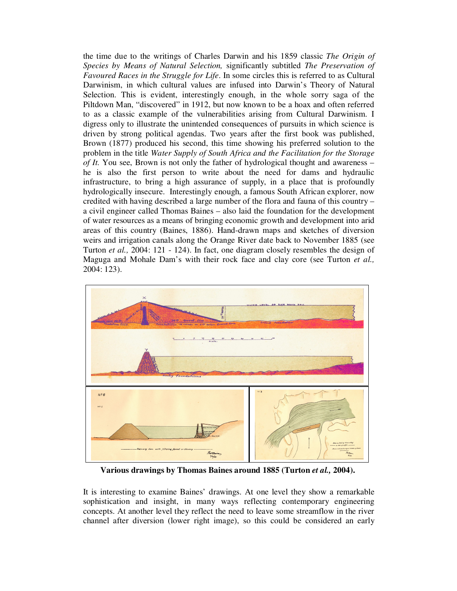the time due to the writings of Charles Darwin and his 1859 classic *The Origin of Species by Means of Natural Selection,* significantly subtitled *The Preservation of Favoured Races in the Struggle for Life*. In some circles this is referred to as Cultural Darwinism, in which cultural values are infused into Darwin's Theory of Natural Selection. This is evident, interestingly enough, in the whole sorry saga of the Piltdown Man, "discovered" in 1912, but now known to be a hoax and often referred to as a classic example of the vulnerabilities arising from Cultural Darwinism. I digress only to illustrate the unintended consequences of pursuits in which science is driven by strong political agendas. Two years after the first book was published, Brown (1877) produced his second, this time showing his preferred solution to the problem in the title *Water Supply of South Africa and the Facilitation for the Storage of It.* You see, Brown is not only the father of hydrological thought and awareness – he is also the first person to write about the need for dams and hydraulic infrastructure, to bring a high assurance of supply, in a place that is profoundly hydrologically insecure. Interestingly enough, a famous South African explorer, now credited with having described a large number of the flora and fauna of this country – a civil engineer called Thomas Baines – also laid the foundation for the development of water resources as a means of bringing economic growth and development into arid areas of this country (Baines, 1886). Hand-drawn maps and sketches of diversion weirs and irrigation canals along the Orange River date back to November 1885 (see Turton *et al.,* 2004: 121 - 124). In fact, one diagram closely resembles the design of Maguga and Mohale Dam's with their rock face and clay core (see Turton *et al.,* 2004: 123).



**Various drawings by Thomas Baines around 1885 (Turton** *et al.,* **2004).**

It is interesting to examine Baines' drawings. At one level they show a remarkable sophistication and insight, in many ways reflecting contemporary engineering concepts. At another level they reflect the need to leave some streamflow in the river channel after diversion (lower right image), so this could be considered an early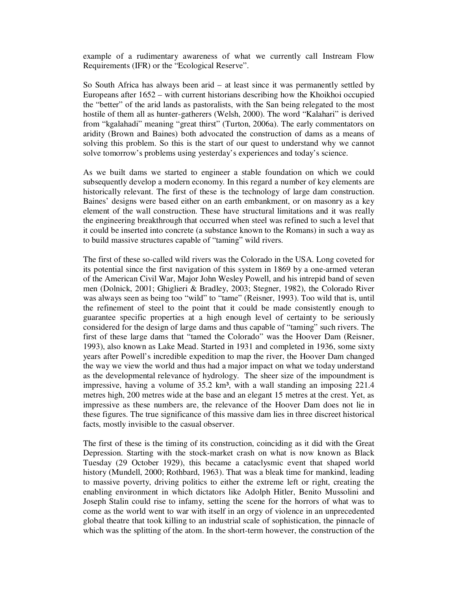example of a rudimentary awareness of what we currently call Instream Flow Requirements (IFR) or the "Ecological Reserve".

So South Africa has always been arid – at least since it was permanently settled by Europeans after 1652 – with current historians describing how the Khoikhoi occupied the "better" of the arid lands as pastoralists, with the San being relegated to the most hostile of them all as hunter-gatherers (Welsh, 2000). The word "Kalahari" is derived from "kgalahadi" meaning "great thirst" (Turton, 2006a). The early commentators on aridity (Brown and Baines) both advocated the construction of dams as a means of solving this problem. So this is the start of our quest to understand why we cannot solve tomorrow's problems using yesterday's experiences and today's science.

As we built dams we started to engineer a stable foundation on which we could subsequently develop a modern economy. In this regard a number of key elements are historically relevant. The first of these is the technology of large dam construction. Baines' designs were based either on an earth embankment, or on masonry as a key element of the wall construction. These have structural limitations and it was really the engineering breakthrough that occurred when steel was refined to such a level that it could be inserted into concrete (a substance known to the Romans) in such a way as to build massive structures capable of "taming" wild rivers.

The first of these so-called wild rivers was the Colorado in the USA. Long coveted for its potential since the first navigation of this system in 1869 by a one-armed veteran of the American Civil War, Major John Wesley Powell, and his intrepid band of seven men (Dolnick, 2001; Ghiglieri & Bradley, 2003; Stegner, 1982), the Colorado River was always seen as being too "wild" to "tame" (Reisner, 1993). Too wild that is, until the refinement of steel to the point that it could be made consistently enough to guarantee specific properties at a high enough level of certainty to be seriously considered for the design of large dams and thus capable of "taming" such rivers. The first of these large dams that "tamed the Colorado" was the Hoover Dam (Reisner, 1993), also known as Lake Mead. Started in 1931 and completed in 1936, some sixty years after Powell's incredible expedition to map the river, the Hoover Dam changed the way we view the world and thus had a major impact on what we today understand as the developmental relevance of hydrology. The sheer size of the impoundment is impressive, having a volume of 35.2 km<sup>3</sup>, with a wall standing an imposing 221.4 metres high, 200 metres wide at the base and an elegant 15 metres at the crest. Yet, as impressive as these numbers are, the relevance of the Hoover Dam does not lie in these figures. The true significance of this massive dam lies in three discreet historical facts, mostly invisible to the casual observer.

The first of these is the timing of its construction, coinciding as it did with the Great Depression. Starting with the stock-market crash on what is now known as Black Tuesday (29 October 1929), this became a cataclysmic event that shaped world history (Mundell, 2000; Rothbard, 1963). That was a bleak time for mankind, leading to massive poverty, driving politics to either the extreme left or right, creating the enabling environment in which dictators like Adolph Hitler, Benito Mussolini and Joseph Stalin could rise to infamy, setting the scene for the horrors of what was to come as the world went to war with itself in an orgy of violence in an unprecedented global theatre that took killing to an industrial scale of sophistication, the pinnacle of which was the splitting of the atom. In the short-term however, the construction of the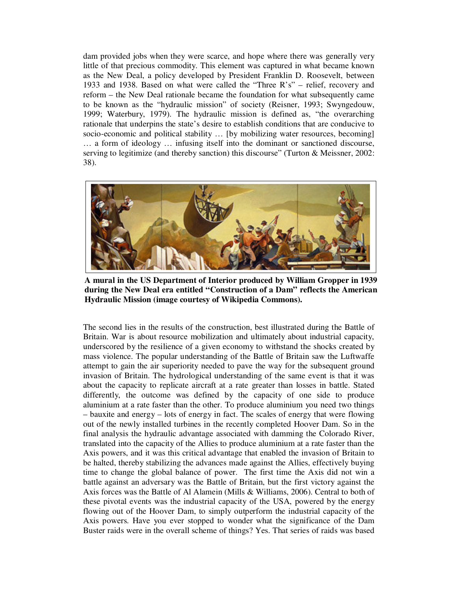dam provided jobs when they were scarce, and hope where there was generally very little of that precious commodity. This element was captured in what became known as the New Deal, a policy developed by President Franklin D. Roosevelt, between 1933 and 1938. Based on what were called the "Three R's" – relief, recovery and reform – the New Deal rationale became the foundation for what subsequently came to be known as the "hydraulic mission" of society (Reisner, 1993; Swyngedouw, 1999; Waterbury, 1979). The hydraulic mission is defined as, "the overarching rationale that underpins the state's desire to establish conditions that are conducive to socio-economic and political stability … [by mobilizing water resources, becoming] … a form of ideology … infusing itself into the dominant or sanctioned discourse, serving to legitimize (and thereby sanction) this discourse" (Turton & Meissner, 2002: 38).



**A mural in the US Department of Interior produced by William Gropper in 1939 during the New Deal era entitled "Construction of a Dam" reflects the American Hydraulic Mission (image courtesy of Wikipedia Commons).**

The second lies in the results of the construction, best illustrated during the Battle of Britain. War is about resource mobilization and ultimately about industrial capacity, underscored by the resilience of a given economy to withstand the shocks created by mass violence. The popular understanding of the Battle of Britain saw the Luftwaffe attempt to gain the air superiority needed to pave the way for the subsequent ground invasion of Britain. The hydrological understanding of the same event is that it was about the capacity to replicate aircraft at a rate greater than losses in battle. Stated differently, the outcome was defined by the capacity of one side to produce aluminium at a rate faster than the other. To produce aluminium you need two things – bauxite and energy – lots of energy in fact. The scales of energy that were flowing out of the newly installed turbines in the recently completed Hoover Dam. So in the final analysis the hydraulic advantage associated with damming the Colorado River, translated into the capacity of the Allies to produce aluminium at a rate faster than the Axis powers, and it was this critical advantage that enabled the invasion of Britain to be halted, thereby stabilizing the advances made against the Allies, effectively buying time to change the global balance of power. The first time the Axis did not win a battle against an adversary was the Battle of Britain, but the first victory against the Axis forces was the Battle of Al Alamein (Mills & Williams, 2006). Central to both of these pivotal events was the industrial capacity of the USA, powered by the energy flowing out of the Hoover Dam, to simply outperform the industrial capacity of the Axis powers. Have you ever stopped to wonder what the significance of the Dam Buster raids were in the overall scheme of things? Yes. That series of raids was based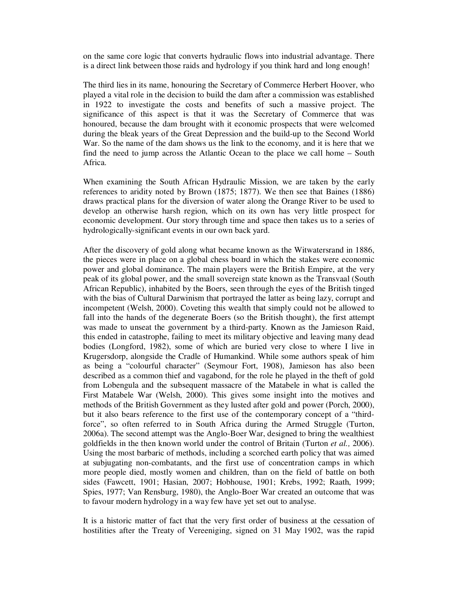on the same core logic that converts hydraulic flows into industrial advantage. There is a direct link between those raids and hydrology if you think hard and long enough!

The third lies in its name, honouring the Secretary of Commerce Herbert Hoover, who played a vital role in the decision to build the dam after a commission was established in 1922 to investigate the costs and benefits of such a massive project. The significance of this aspect is that it was the Secretary of Commerce that was honoured, because the dam brought with it economic prospects that were welcomed during the bleak years of the Great Depression and the build-up to the Second World War. So the name of the dam shows us the link to the economy, and it is here that we find the need to jump across the Atlantic Ocean to the place we call home – South Africa.

When examining the South African Hydraulic Mission, we are taken by the early references to aridity noted by Brown (1875; 1877). We then see that Baines (1886) draws practical plans for the diversion of water along the Orange River to be used to develop an otherwise harsh region, which on its own has very little prospect for economic development. Our story through time and space then takes us to a series of hydrologically-significant events in our own back yard.

After the discovery of gold along what became known as the Witwatersrand in 1886, the pieces were in place on a global chess board in which the stakes were economic power and global dominance. The main players were the British Empire, at the very peak of its global power, and the small sovereign state known as the Transvaal (South African Republic), inhabited by the Boers, seen through the eyes of the British tinged with the bias of Cultural Darwinism that portrayed the latter as being lazy, corrupt and incompetent (Welsh, 2000). Coveting this wealth that simply could not be allowed to fall into the hands of the degenerate Boers (so the British thought), the first attempt was made to unseat the government by a third-party. Known as the Jamieson Raid, this ended in catastrophe, failing to meet its military objective and leaving many dead bodies (Longford, 1982), some of which are buried very close to where I live in Krugersdorp, alongside the Cradle of Humankind. While some authors speak of him as being a "colourful character" (Seymour Fort, 1908), Jamieson has also been described as a common thief and vagabond, for the role he played in the theft of gold from Lobengula and the subsequent massacre of the Matabele in what is called the First Matabele War (Welsh, 2000). This gives some insight into the motives and methods of the British Government as they lusted after gold and power (Porch, 2000), but it also bears reference to the first use of the contemporary concept of a "thirdforce", so often referred to in South Africa during the Armed Struggle (Turton, 2006a). The second attempt was the Anglo-Boer War, designed to bring the wealthiest goldfields in the then known world under the control of Britain (Turton *et al.,* 2006). Using the most barbaric of methods, including a scorched earth policy that was aimed at subjugating non-combatants, and the first use of concentration camps in which more people died, mostly women and children, than on the field of battle on both sides (Fawcett, 1901; Hasian, 2007; Hobhouse, 1901; Krebs, 1992; Raath, 1999; Spies, 1977; Van Rensburg, 1980), the Anglo-Boer War created an outcome that was to favour modern hydrology in a way few have yet set out to analyse.

It is a historic matter of fact that the very first order of business at the cessation of hostilities after the Treaty of Vereeniging, signed on 31 May 1902, was the rapid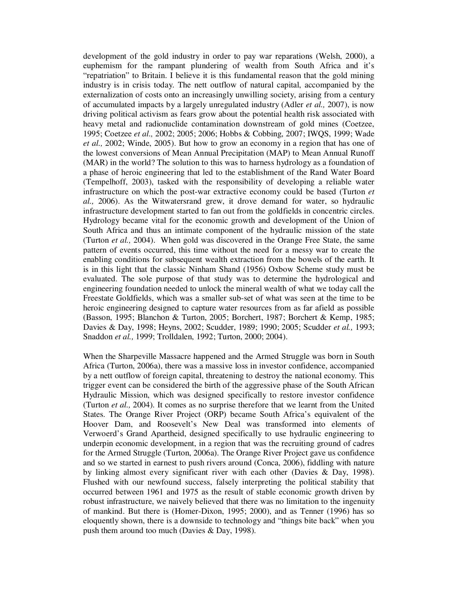development of the gold industry in order to pay war reparations (Welsh, 2000), a euphemism for the rampant plundering of wealth from South Africa and it's "repatriation" to Britain. I believe it is this fundamental reason that the gold mining industry is in crisis today. The nett outflow of natural capital, accompanied by the externalization of costs onto an increasingly unwilling society, arising from a century of accumulated impacts by a largely unregulated industry (Adler *et al.,* 2007), is now driving political activism as fears grow about the potential health risk associated with heavy metal and radionuclide contamination downstream of gold mines (Coetzee, 1995; Coetzee *et al.,* 2002; 2005; 2006; Hobbs & Cobbing, 2007; IWQS, 1999; Wade *et al.,* 2002; Winde, 2005). But how to grow an economy in a region that has one of the lowest conversions of Mean Annual Precipitation (MAP) to Mean Annual Runoff (MAR) in the world? The solution to this was to harness hydrology as a foundation of a phase of heroic engineering that led to the establishment of the Rand Water Board (Tempelhoff, 2003), tasked with the responsibility of developing a reliable water infrastructure on which the post-war extractive economy could be based (Turton *et al.,* 2006). As the Witwatersrand grew, it drove demand for water, so hydraulic infrastructure development started to fan out from the goldfields in concentric circles. Hydrology became vital for the economic growth and development of the Union of South Africa and thus an intimate component of the hydraulic mission of the state (Turton *et al.,* 2004). When gold was discovered in the Orange Free State, the same pattern of events occurred, this time without the need for a messy war to create the enabling conditions for subsequent wealth extraction from the bowels of the earth. It is in this light that the classic Ninham Shand (1956) Oxbow Scheme study must be evaluated. The sole purpose of that study was to determine the hydrological and engineering foundation needed to unlock the mineral wealth of what we today call the Freestate Goldfields, which was a smaller sub-set of what was seen at the time to be heroic engineering designed to capture water resources from as far afield as possible (Basson, 1995; Blanchon & Turton, 2005; Borchert, 1987; Borchert & Kemp, 1985; Davies & Day, 1998; Heyns, 2002; Scudder, 1989; 1990; 2005; Scudder *et al.,* 1993; Snaddon *et al.,* 1999; Trolldalen, 1992; Turton, 2000; 2004).

When the Sharpeville Massacre happened and the Armed Struggle was born in South Africa (Turton, 2006a), there was a massive loss in investor confidence, accompanied by a nett outflow of foreign capital, threatening to destroy the national economy. This trigger event can be considered the birth of the aggressive phase of the South African Hydraulic Mission, which was designed specifically to restore investor confidence (Turton *et al.,* 2004). It comes as no surprise therefore that we learnt from the United States. The Orange River Project (ORP) became South Africa's equivalent of the Hoover Dam, and Roosevelt's New Deal was transformed into elements of Verwoerd's Grand Apartheid, designed specifically to use hydraulic engineering to underpin economic development, in a region that was the recruiting ground of cadres for the Armed Struggle (Turton, 2006a). The Orange River Project gave us confidence and so we started in earnest to push rivers around (Conca, 2006), fiddling with nature by linking almost every significant river with each other (Davies & Day, 1998). Flushed with our newfound success, falsely interpreting the political stability that occurred between 1961 and 1975 as the result of stable economic growth driven by robust infrastructure, we naively believed that there was no limitation to the ingenuity of mankind. But there is (Homer-Dixon, 1995; 2000), and as Tenner (1996) has so eloquently shown, there is a downside to technology and "things bite back" when you push them around too much (Davies & Day, 1998).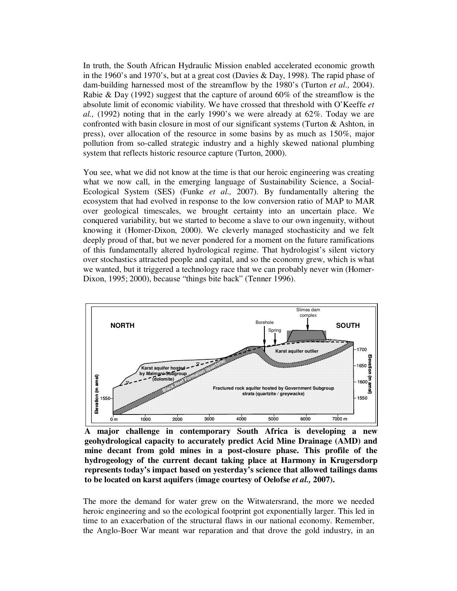In truth, the South African Hydraulic Mission enabled accelerated economic growth in the 1960's and 1970's, but at a great cost (Davies & Day, 1998). The rapid phase of dam-building harnessed most of the streamflow by the 1980's (Turton *et al.,* 2004). Rabie & Day (1992) suggest that the capture of around 60% of the streamflow is the absolute limit of economic viability. We have crossed that threshold with O'Keeffe *et al.,* (1992) noting that in the early 1990's we were already at 62%. Today we are confronted with basin closure in most of our significant systems (Turton & Ashton, in press), over allocation of the resource in some basins by as much as 150%, major pollution from so-called strategic industry and a highly skewed national plumbing system that reflects historic resource capture (Turton, 2000).

You see, what we did not know at the time is that our heroic engineering was creating what we now call, in the emerging language of Sustainability Science, a Social-Ecological System (SES) (Funke *et al.,* 2007). By fundamentally altering the ecosystem that had evolved in response to the low conversion ratio of MAP to MAR over geological timescales, we brought certainty into an uncertain place. We conquered variability, but we started to become a slave to our own ingenuity, without knowing it (Homer-Dixon, 2000). We cleverly managed stochasticity and we felt deeply proud of that, but we never pondered for a moment on the future ramifications of this fundamentally altered hydrological regime. That hydrologist's silent victory over stochastics attracted people and capital, and so the economy grew, which is what we wanted, but it triggered a technology race that we can probably never win (Homer-Dixon, 1995; 2000), because "things bite back" (Tenner 1996).



**A major challenge in contemporary South Africa is developing a new geohydrological capacity to accurately predict Acid Mine Drainage (AMD) and mine decant from gold mines in a post-closure phase. This profile of the hydrogeology of the current decant taking place at Harmony in Krugersdorp represents today's impact based on yesterday's science that allowed tailings dams to be located on karst aquifers (image courtesy of Oelofse** *et al.,* **2007).**

The more the demand for water grew on the Witwatersrand, the more we needed heroic engineering and so the ecological footprint got exponentially larger. This led in time to an exacerbation of the structural flaws in our national economy. Remember, the Anglo-Boer War meant war reparation and that drove the gold industry, in an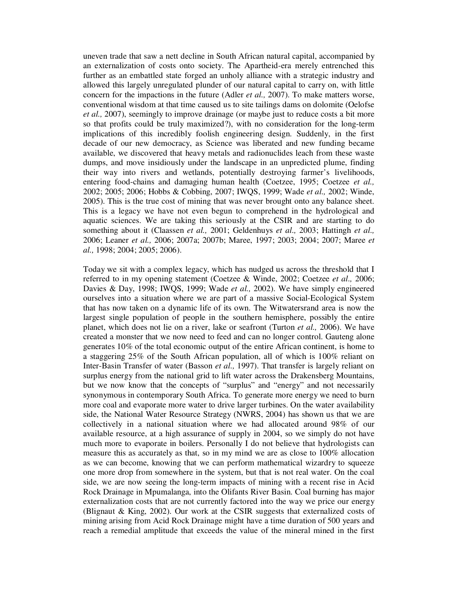uneven trade that saw a nett decline in South African natural capital, accompanied by an externalization of costs onto society. The Apartheid-era merely entrenched this further as an embattled state forged an unholy alliance with a strategic industry and allowed this largely unregulated plunder of our natural capital to carry on, with little concern for the impactions in the future (Adler *et al.,* 2007). To make matters worse, conventional wisdom at that time caused us to site tailings dams on dolomite (Oelofse *et al.,* 2007), seemingly to improve drainage (or maybe just to reduce costs a bit more so that profits could be truly maximized?), with no consideration for the long-term implications of this incredibly foolish engineering design. Suddenly, in the first decade of our new democracy, as Science was liberated and new funding became available, we discovered that heavy metals and radionuclides leach from these waste dumps, and move insidiously under the landscape in an unpredicted plume, finding their way into rivers and wetlands, potentially destroying farmer's livelihoods, entering food-chains and damaging human health (Coetzee, 1995; Coetzee *et al.,* 2002; 2005; 2006; Hobbs & Cobbing, 2007; IWQS, 1999; Wade *et al.,* 2002; Winde, 2005). This is the true cost of mining that was never brought onto any balance sheet. This is a legacy we have not even begun to comprehend in the hydrological and aquatic sciences. We are taking this seriously at the CSIR and are starting to do something about it (Claassen *et al.,* 2001; Geldenhuys *et al.,* 2003; Hattingh *et al.,* 2006; Leaner *et al.,* 2006; 2007a; 2007b; Maree, 1997; 2003; 2004; 2007; Maree *et al.,* 1998; 2004; 2005; 2006).

Today we sit with a complex legacy, which has nudged us across the threshold that I referred to in my opening statement (Coetzee & Winde, 2002; Coetzee *et al.,* 2006; Davies & Day, 1998; IWQS, 1999; Wade *et al.,* 2002). We have simply engineered ourselves into a situation where we are part of a massive Social-Ecological System that has now taken on a dynamic life of its own. The Witwatersrand area is now the largest single population of people in the southern hemisphere, possibly the entire planet, which does not lie on a river, lake or seafront (Turton *et al.,* 2006). We have created a monster that we now need to feed and can no longer control. Gauteng alone generates 10% of the total economic output of the entire African continent, is home to a staggering 25% of the South African population, all of which is 100% reliant on Inter-Basin Transfer of water (Basson *et al.,* 1997). That transfer is largely reliant on surplus energy from the national grid to lift water across the Drakensberg Mountains, but we now know that the concepts of "surplus" and "energy" and not necessarily synonymous in contemporary South Africa. To generate more energy we need to burn more coal and evaporate more water to drive larger turbines. On the water availability side, the National Water Resource Strategy (NWRS, 2004) has shown us that we are collectively in a national situation where we had allocated around 98% of our available resource, at a high assurance of supply in 2004, so we simply do not have much more to evaporate in boilers. Personally I do not believe that hydrologists can measure this as accurately as that, so in my mind we are as close to 100% allocation as we can become, knowing that we can perform mathematical wizardry to squeeze one more drop from somewhere in the system, but that is not real water. On the coal side, we are now seeing the long-term impacts of mining with a recent rise in Acid Rock Drainage in Mpumalanga, into the Olifants River Basin. Coal burning has major externalization costs that are not currently factored into the way we price our energy (Blignaut & King, 2002). Our work at the CSIR suggests that externalized costs of mining arising from Acid Rock Drainage might have a time duration of 500 years and reach a remedial amplitude that exceeds the value of the mineral mined in the first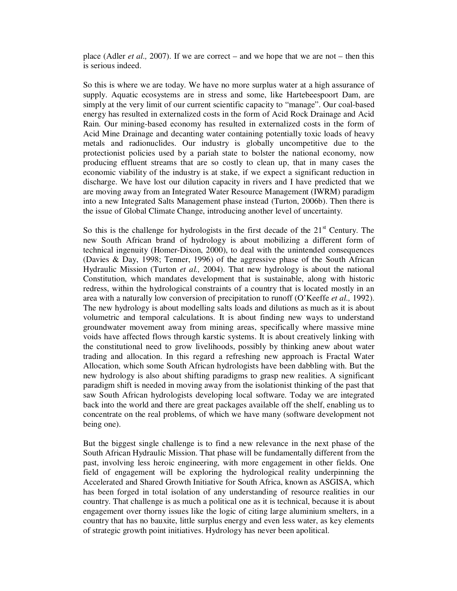place (Adler *et al.,* 2007). If we are correct – and we hope that we are not – then this is serious indeed.

So this is where we are today. We have no more surplus water at a high assurance of supply. Aquatic ecosystems are in stress and some, like Hartebeespoort Dam, are simply at the very limit of our current scientific capacity to "manage". Our coal-based energy has resulted in externalized costs in the form of Acid Rock Drainage and Acid Rain. Our mining-based economy has resulted in externalized costs in the form of Acid Mine Drainage and decanting water containing potentially toxic loads of heavy metals and radionuclides. Our industry is globally uncompetitive due to the protectionist policies used by a pariah state to bolster the national economy, now producing effluent streams that are so costly to clean up, that in many cases the economic viability of the industry is at stake, if we expect a significant reduction in discharge. We have lost our dilution capacity in rivers and I have predicted that we are moving away from an Integrated Water Resource Management (IWRM) paradigm into a new Integrated Salts Management phase instead (Turton, 2006b). Then there is the issue of Global Climate Change, introducing another level of uncertainty.

So this is the challenge for hydrologists in the first decade of the  $21<sup>st</sup>$  Century. The new South African brand of hydrology is about mobilizing a different form of technical ingenuity (Homer-Dixon, 2000), to deal with the unintended consequences (Davies & Day, 1998; Tenner, 1996) of the aggressive phase of the South African Hydraulic Mission (Turton *et al.,* 2004). That new hydrology is about the national Constitution, which mandates development that is sustainable, along with historic redress, within the hydrological constraints of a country that is located mostly in an area with a naturally low conversion of precipitation to runoff (O'Keeffe *et al.,* 1992). The new hydrology is about modelling salts loads and dilutions as much as it is about volumetric and temporal calculations. It is about finding new ways to understand groundwater movement away from mining areas, specifically where massive mine voids have affected flows through karstic systems. It is about creatively linking with the constitutional need to grow livelihoods, possibly by thinking anew about water trading and allocation. In this regard a refreshing new approach is Fractal Water Allocation, which some South African hydrologists have been dabbling with. But the new hydrology is also about shifting paradigms to grasp new realities. A significant paradigm shift is needed in moving away from the isolationist thinking of the past that saw South African hydrologists developing local software. Today we are integrated back into the world and there are great packages available off the shelf, enabling us to concentrate on the real problems, of which we have many (software development not being one).

But the biggest single challenge is to find a new relevance in the next phase of the South African Hydraulic Mission. That phase will be fundamentally different from the past, involving less heroic engineering, with more engagement in other fields. One field of engagement will be exploring the hydrological reality underpinning the Accelerated and Shared Growth Initiative for South Africa, known as ASGISA, which has been forged in total isolation of any understanding of resource realities in our country. That challenge is as much a political one as it is technical, because it is about engagement over thorny issues like the logic of citing large aluminium smelters, in a country that has no bauxite, little surplus energy and even less water, as key elements of strategic growth point initiatives. Hydrology has never been apolitical.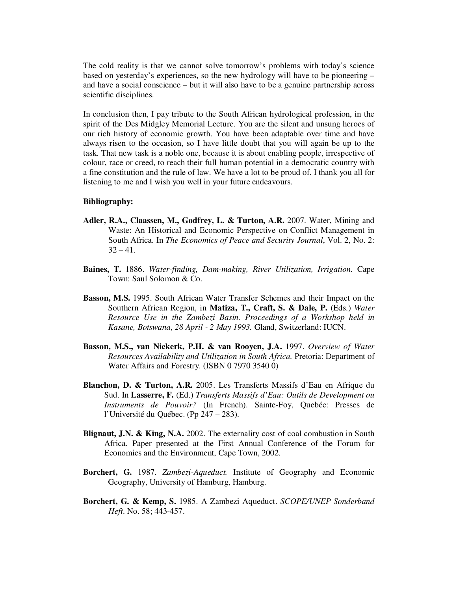The cold reality is that we cannot solve tomorrow's problems with today's science based on yesterday's experiences, so the new hydrology will have to be pioneering – and have a social conscience – but it will also have to be a genuine partnership across scientific disciplines.

In conclusion then, I pay tribute to the South African hydrological profession, in the spirit of the Des Midgley Memorial Lecture. You are the silent and unsung heroes of our rich history of economic growth. You have been adaptable over time and have always risen to the occasion, so I have little doubt that you will again be up to the task. That new task is a noble one, because it is about enabling people, irrespective of colour, race or creed, to reach their full human potential in a democratic country with a fine constitution and the rule of law. We have a lot to be proud of. I thank you all for listening to me and I wish you well in your future endeavours.

## **Bibliography:**

- **Adler, R.A., Claassen, M., Godfrey, L. & Turton, A.R.** 2007. Water, Mining and Waste: An Historical and Economic Perspective on Conflict Management in South Africa. In *The Economics of Peace and Security Journal*, Vol. 2, No. 2:  $32 - 41$ .
- **Baines, T.** 1886. *Water-finding, Dam-making, River Utilization, Irrigation.* Cape Town: Saul Solomon & Co.
- **Basson, M.S.** 1995. South African Water Transfer Schemes and their Impact on the Southern African Region, in **Matiza, T., Craft, S. & Dale, P.** (Eds.) *Water Resource Use in the Zambezi Basin. Proceedings of a Workshop held in Kasane, Botswana, 28 April - 2 May 1993.* Gland, Switzerland: IUCN.
- **Basson, M.S., van Niekerk, P.H. & van Rooyen, J.A.** 1997. *Overview of Water Resources Availability and Utilization in South Africa.* Pretoria: Department of Water Affairs and Forestry. (ISBN 0 7970 3540 0)
- **Blanchon, D. & Turton, A.R.** 2005. Les Transferts Massifs d'Eau en Afrique du Sud. In **Lasserre, F.** (Ed.) *Transferts Massifs d'Eau: Outils de Development ou Instruments de Pouvoir?* (In French). Sainte-Foy, Quebéc: Presses de l'Université du Québec. (Pp 247 – 283).
- **Blignaut, J.N. & King, N.A.** 2002. The externality cost of coal combustion in South Africa. Paper presented at the First Annual Conference of the Forum for Economics and the Environment, Cape Town, 2002.
- **Borchert, G.** 1987. *Zambezi-Aqueduct.* Institute of Geography and Economic Geography, University of Hamburg, Hamburg.
- **Borchert, G. & Kemp, S.** 1985. A Zambezi Aqueduct. *SCOPE/UNEP Sonderband Heft*. No. 58; 443-457.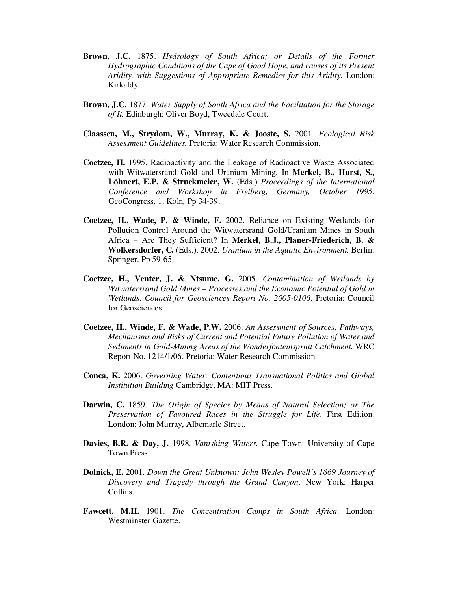- **Brown, J.C.** 1875. *Hydrology of South Africa; or Details of the Former Hydrographic Conditions of the Cape of Good Hope, and causes of its Present Aridity, with Suggestions of Appropriate Remedies for this Aridity.* London: Kirkaldy.
- **Brown, J.C.** 1877. *Water Supply of South Africa and the Facilitation for the Storage of It.* Edinburgh: Oliver Boyd, Tweedale Court.
- **Claassen, M., Strydom, W., Murray, K. & Jooste, S.** 2001. *Ecological Risk Assessment Guidelines.* Pretoria: Water Research Commission.
- **Coetzee, H.** 1995. Radioactivity and the Leakage of Radioactive Waste Associated with Witwatersrand Gold and Uranium Mining. In **Merkel, B., Hurst, S., Löhnert, E.P. & Struckmeier, W.** (Eds.) *Proceedings of the International Conference and Workshop in Freiberg, Germany, October 1995*. GeoCongress, 1. Köln, Pp 34-39.
- **Coetzee, H., Wade, P. & Winde, F.** 2002. Reliance on Existing Wetlands for Pollution Control Around the Witwatersrand Gold/Uranium Mines in South Africa – Are They Sufficient? In **Merkel, B.J., Planer-Friederich, B. & Wolkersdorfer, C.** (Eds.). 2002. *Uranium in the Aquatic Environment.* Berlin: Springer. Pp 59-65.
- **Coetzee, H., Venter, J. & Ntsume, G.** 2005. *Contamination of Wetlands by Witwatersrand Gold Mines – Processes and the Economic Potential of Gold in Wetlands. Council for Geosciences Report No. 2005-0106*. Pretoria: Council for Geosciences.
- **Coetzee, H., Winde, F. & Wade, P.W.** 2006. *An Assessment of Sources, Pathways, Mechanisms and Risks of Current and Potential Future Pollution of Water and Sediments in Gold-Mining Areas of the Wonderfonteinspruit Catchment.* WRC Report No. 1214/1/06. Pretoria: Water Research Commission.
- **Conca, K.** 2006. *Governing Water: Contentious Transnational Politics and Global Institution Building* Cambridge, MA: MIT Press.
- **Darwin, C.** 1859. *The Origin of Species by Means of Natural Selection; or The Preservation of Favoured Races in the Struggle for Life*. First Edition. London: John Murray, Albemarle Street.
- **Davies, B.R. & Day, J.** 1998. *Vanishing Waters*. Cape Town: University of Cape Town Press.
- **Dolnick, E.** 2001. *Down the Great Unknown: John Wesley Powell's 1869 Journey of Discovery and Tragedy through the Grand Canyon*. New York: Harper Collins.
- **Fawcett, M.H.** 1901. *The Concentration Camps in South Africa*. London: Westminster Gazette.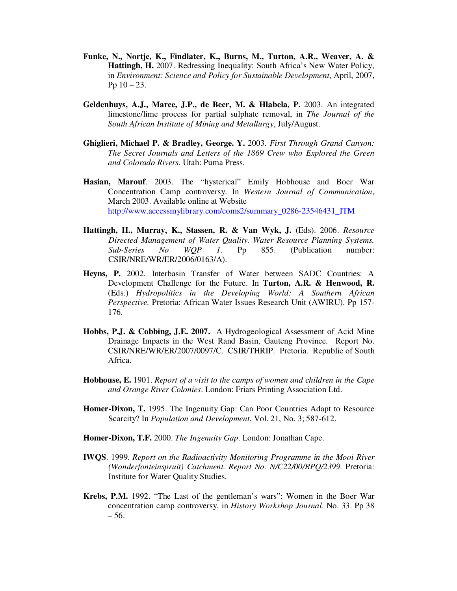- **Funke, N., Nortje, K., Findlater, K., Burns, M., Turton, A.R., Weaver, A. & Hattingh, H.** 2007. Redressing Inequality: South Africa's New Water Policy, in *Environment: Science and Policy for Sustainable Development*, April, 2007, Pp  $10 - 23$ .
- **Geldenhuys, A.J., Maree, J.P., de Beer, M. & Hlabela, P.** 2003. An integrated limestone/lime process for partial sulphate removal, in *The Journal of the South African Institute of Mining and Metallurgy*, July/August.
- **Ghiglieri, Michael P. & Bradley, George. Y.** 2003. *First Through Grand Canyon: The Secret Journals and Letters of the 1869 Crew who Explored the Green and Colorado Rivers.* Utah: Puma Press.
- **Hasian, Marouf**. 2003. The "hysterical" Emily Hobhouse and Boer War Concentration Camp controversy. In *Western Journal of Communication*, March 2003. Available online at Website http://www.accessmylibrary.com/coms2/summary\_0286-23546431\_ITM
- **Hattingh, H., Murray, K., Stassen, R. & Van Wyk, J.** (Eds). 2006. *Resource Directed Management of Water Quality. Water Resource Planning Systems. Sub-Series No WQP 1.* Pp 855. (Publication number: CSIR/NRE/WR/ER/2006/0163/A).
- **Heyns, P.** 2002. Interbasin Transfer of Water between SADC Countries: A Development Challenge for the Future. In **Turton, A.R. & Henwood, R.** (Eds.) *Hydropolitics in the Developing World: A Southern African Perspective.* Pretoria: African Water Issues Research Unit (AWIRU). Pp 157- 176.
- **Hobbs, P.J. & Cobbing, J.E. 2007.** A Hydrogeological Assessment of Acid Mine Drainage Impacts in the West Rand Basin, Gauteng Province. Report No. CSIR/NRE/WR/ER/2007/0097/C. CSIR/THRIP. Pretoria. Republic of South Africa.
- **Hobhouse, E.** 1901. *Report of a visit to the camps of women and children in the Cape and Orange River Colonies*. London: Friars Printing Association Ltd.
- **Homer-Dixon, T.** 1995. The Ingenuity Gap: Can Poor Countries Adapt to Resource Scarcity? In *Population and Development*, Vol. 21, No. 3; 587-612.
- **Homer-Dixon, T.F.** 2000. *The Ingenuity Gap*. London: Jonathan Cape.
- **IWQS**. 1999. *Report on the Radioactivity Monitoring Programme in the Mooi River (Wonderfonteinspruit) Catchment. Report No. N/C22/00/RPQ/2399.* Pretoria: Institute for Water Quality Studies.
- **Krebs, P.M.** 1992. "The Last of the gentleman's wars": Women in the Boer War concentration camp controversy, in *History Workshop Journal*. No. 33. Pp 38 – 56.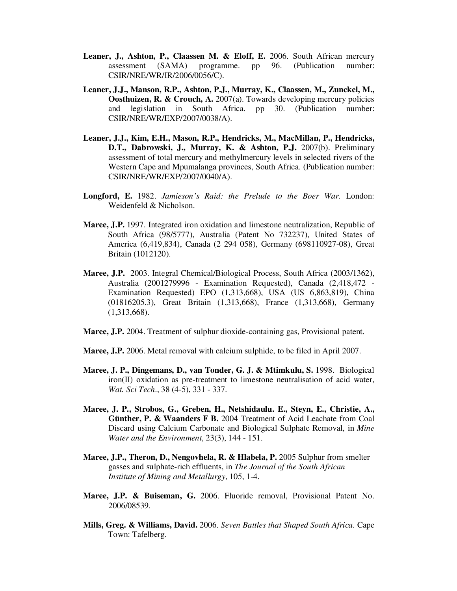- **Leaner, J., Ashton, P., Claassen M. & Eloff, E.** 2006. South African mercury assessment (SAMA) programme. pp 96. (Publication number: CSIR/NRE/WR/IR/2006/0056/C).
- **Leaner, J.J., Manson, R.P., Ashton, P.J., Murray, K., Claassen, M., Zunckel, M., Oosthuizen, R. & Crouch, A.** 2007(a). Towards developing mercury policies and legislation in South Africa. pp 30. (Publication number: CSIR/NRE/WR/EXP/2007/0038/A).
- **Leaner, J.J., Kim, E.H., Mason, R.P., Hendricks, M., MacMillan, P., Hendricks, D.T., Dabrowski, J., Murray, K. & Ashton, P.J.** 2007(b). Preliminary assessment of total mercury and methylmercury levels in selected rivers of the Western Cape and Mpumalanga provinces, South Africa. (Publication number: CSIR/NRE/WR/EXP/2007/0040/A).
- **Longford, E.** 1982. *Jamieson's Raid: the Prelude to the Boer War.* London: Weidenfeld & Nicholson.
- **Maree, J.P.** 1997. Integrated iron oxidation and limestone neutralization, Republic of South Africa (98/5777), Australia (Patent No 732237), United States of America (6,419,834), Canada (2 294 058), Germany (698110927-08), Great Britain (1012120).
- **Maree, J.P.** 2003. Integral Chemical/Biological Process, South Africa (2003/1362), Australia (2001279996 - Examination Requested), Canada (2,418,472 - Examination Requested) EPO (1,313,668), USA (US 6,863,819), China (01816205.3), Great Britain (1,313,668), France (1,313,668), Germany (1,313,668).
- **Maree, J.P.** 2004. Treatment of sulphur dioxide-containing gas, Provisional patent.
- **Maree, J.P.** 2006. Metal removal with calcium sulphide, to be filed in April 2007.
- **Maree, J. P., Dingemans, D., van Tonder, G. J. & Mtimkulu, S.** 1998. Biological iron(II) oxidation as pre-treatment to limestone neutralisation of acid water, *Wat. Sci Tech*., 38 (4-5), 331 - 337.
- **Maree, J. P., Strobos, G., Greben, H., Netshidaulu. E., Steyn, E., Christie, A., Günther, P. & Waanders F B.** 2004 Treatment of Acid Leachate from Coal Discard using Calcium Carbonate and Biological Sulphate Removal, in *Mine Water and the Environment*, 23(3), 144 - 151.
- **Maree, J.P., Theron, D., Nengovhela, R. & Hlabela, P.** 2005 Sulphur from smelter gasses and sulphate-rich effluents, in *The Journal of the South African Institute of Mining and Metallurgy*, 105, 1-4.
- **Maree, J.P. & Buiseman, G.** 2006. Fluoride removal, Provisional Patent No. 2006/08539.
- **Mills, Greg. & Williams, David.** 2006. *Seven Battles that Shaped South Africa.* Cape Town: Tafelberg.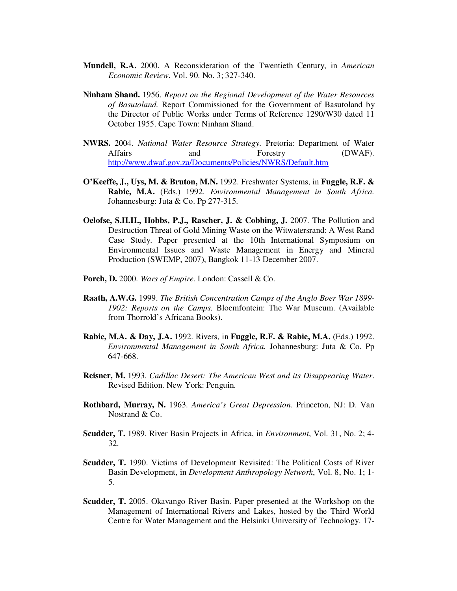- **Mundell, R.A.** 2000. A Reconsideration of the Twentieth Century, in *American Economic Review*. Vol. 90. No. 3; 327-340.
- **Ninham Shand.** 1956. *Report on the Regional Development of the Water Resources of Basutoland.* Report Commissioned for the Government of Basutoland by the Director of Public Works under Terms of Reference 1290/W30 dated 11 October 1955. Cape Town: Ninham Shand.
- **NWRS.** 2004. *National Water Resource Strategy.* Pretoria: Department of Water Affairs and Forestry (DWAF). http://www.dwaf.gov.za/Documents/Policies/NWRS/Default.htm
- **O'Keeffe, J., Uys, M. & Bruton, M.N.** 1992. Freshwater Systems, in **Fuggle, R.F. & Rabie, M.A.** (Eds.) 1992. *Environmental Management in South Africa.* Johannesburg: Juta & Co. Pp 277-315.
- **Oelofse, S.H.H., Hobbs, P.J., Rascher, J. & Cobbing, J.** 2007. The Pollution and Destruction Threat of Gold Mining Waste on the Witwatersrand: A West Rand Case Study. Paper presented at the 10th International Symposium on Environmental Issues and Waste Management in Energy and Mineral Production (SWEMP, 2007), Bangkok 11-13 December 2007.
- **Porch, D.** 2000. *Wars of Empire*. London: Cassell & Co.
- **Raath, A.W.G.** 1999. *The British Concentration Camps of the Anglo Boer War 1899- 1902: Reports on the Camps.* Bloemfontein: The War Museum. (Available from Thorrold's Africana Books).
- **Rabie, M.A. & Day, J.A.** 1992. Rivers, in **Fuggle, R.F. & Rabie, M.A.** (Eds.) 1992. *Environmental Management in South Africa.* Johannesburg: Juta & Co. Pp 647-668.
- **Reisner, M.** 1993. *Cadillac Desert: The American West and its Disappearing Water*. Revised Edition. New York: Penguin.
- **Rothbard, Murray, N.** 1963. *America's Great Depression*. Princeton, NJ: D. Van Nostrand & Co.
- **Scudder, T.** 1989. River Basin Projects in Africa, in *Environment*, Vol. 31, No. 2; 4- 32.
- **Scudder, T.** 1990. Victims of Development Revisited: The Political Costs of River Basin Development, in *Development Anthropology Network*, Vol. 8, No. 1; 1- 5.
- **Scudder, T.** 2005. Okavango River Basin. Paper presented at the Workshop on the Management of International Rivers and Lakes, hosted by the Third World Centre for Water Management and the Helsinki University of Technology. 17-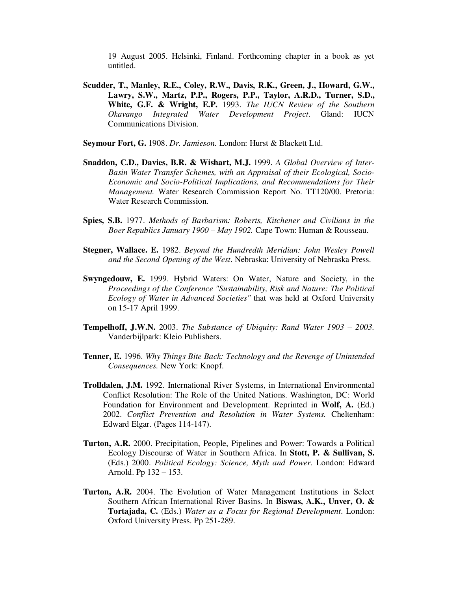19 August 2005. Helsinki, Finland. Forthcoming chapter in a book as yet untitled.

- **Scudder, T., Manley, R.E., Coley, R.W., Davis, R.K., Green, J., Howard, G.W., Lawry, S.W., Martz, P.P., Rogers, P.P., Taylor, A.R.D., Turner, S.D., White, G.F. & Wright, E.P.** 1993. *The IUCN Review of the Southern Okavango Integrated Water Development Project*. Gland: IUCN Communications Division.
- **Seymour Fort, G.** 1908. *Dr. Jamieson.* London: Hurst & Blackett Ltd.
- **Snaddon, C.D., Davies, B.R. & Wishart, M.J.** 1999. *A Global Overview of Inter-Basin Water Transfer Schemes, with an Appraisal of their Ecological, Socio-Economic and Socio-Political Implications, and Recommendations for Their Management.* Water Research Commission Report No. TT120/00. Pretoria: Water Research Commission.
- **Spies, S.B.** 1977. *Methods of Barbarism: Roberts, Kitchener and Civilians in the Boer Republics January 1900 – May 1902.* Cape Town: Human & Rousseau.
- **Stegner, Wallace. E.** 1982. *Beyond the Hundredth Meridian: John Wesley Powell and the Second Opening of the West*. Nebraska: University of Nebraska Press.
- **Swyngedouw, E.** 1999. Hybrid Waters: On Water, Nature and Society, in the *Proceedings of the Conference "Sustainability, Risk and Nature: The Political Ecology of Water in Advanced Societies"* that was held at Oxford University on 15-17 April 1999.
- **Tempelhoff, J.W.N.** 2003. *The Substance of Ubiquity: Rand Water 1903 – 2003.* Vanderbijlpark: Kleio Publishers.
- **Tenner, E.** 1996. *Why Things Bite Back: Technology and the Revenge of Unintended Consequences.* New York: Knopf.
- **Trolldalen, J.M.** 1992. International River Systems, in International Environmental Conflict Resolution: The Role of the United Nations. Washington, DC: World Foundation for Environment and Development. Reprinted in **Wolf, A.** (Ed.) 2002. *Conflict Prevention and Resolution in Water Systems.* Cheltenham: Edward Elgar. (Pages 114-147).
- **Turton, A.R.** 2000. Precipitation, People, Pipelines and Power: Towards a Political Ecology Discourse of Water in Southern Africa. In **Stott, P. & Sullivan, S.** (Eds.) 2000. *Political Ecology: Science, Myth and Power*. London: Edward Arnold. Pp 132 – 153.
- **Turton, A.R.** 2004. The Evolution of Water Management Institutions in Select Southern African International River Basins. In **Biswas, A.K., Unver, O. & Tortajada, C.** (Eds.) *Water as a Focus for Regional Development*. London: Oxford University Press. Pp 251-289.